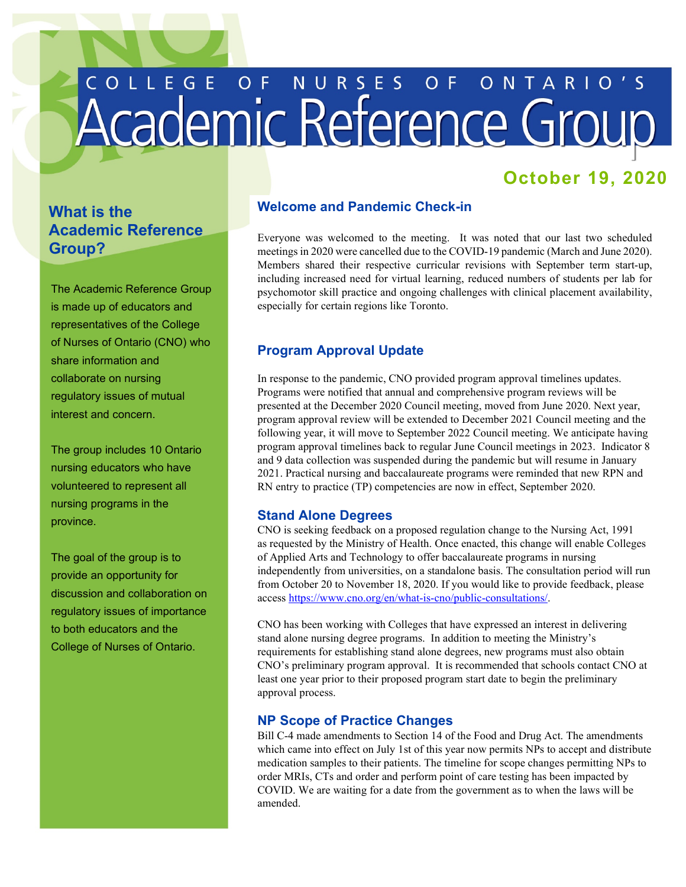# COLLEGE OF NURSES OF ONTARIO'S

# **October 19, 2020**

# **What is the Academic Reference Group?**

The Academic Reference Group is made up of educators and representatives of the College of Nurses of Ontario (CNO) who share information and collaborate on nursing regulatory issues of mutual interest and concern.

The group includes 10 Ontario nursing educators who have volunteered to represent all nursing programs in the province.

The goal of the group is to provide an opportunity for discussion and collaboration on regulatory issues of importance to both educators and the College of Nurses of Ontario.

### **Welcome and Pandemic Check-in**

 Everyone was welcomed to the meeting. It was noted that our last two scheduled meetings in 2020 were cancelled due to the COVID-19 pandemic (March and June 2020). including increased need for virtual learning, reduced numbers of students per lab for Members shared their respective curricular revisions with September term start-up, psychomotor skill practice and ongoing challenges with clinical placement availability, especially for certain regions like Toronto.

### **Program Approval Update**

 In response to the pandemic, CNO provided program approval timelines updates. following year, it will move to September 2022 Council meeting. We anticipate having Programs were notified that annual and comprehensive program reviews will be presented at the December 2020 Council meeting, moved from June 2020. Next year, program approval review will be extended to December 2021 Council meeting and the program approval timelines back to regular June Council meetings in 2023. Indicator 8 and 9 data collection was suspended during the pandemic but will resume in January 2021. Practical nursing and baccalaureate programs were reminded that new RPN and RN entry to practice (TP) competencies are now in effect, September 2020.

### **Stand Alone Degrees**

CNO is seeking feedback on a proposed regulation change to the Nursing Act, 1991 as [requested by](https://www.cno.org/globalassets/1-whatiscno/public-consultations/letter-from-moh-to-cno-re-educaiton-consultation.pdf) the Ministry of Health. Once enacted, this change will enable Colleges of Applied Arts and Technology to offer baccalaureate programs in nursing independently from universities, on a standalone basis. The consultation period will run from October 20 to November 18, 2020. If you would like to provide feedback, please access [https://www.cno.org/en/what-is-cno/public-consultations/.](https://www.cno.org/en/what-is-cno/public-consultations/)

CNO has been working with Colleges that have expressed an interest in delivering stand alone nursing degree programs. In addition to meeting the Ministry's requirements for establishing stand alone degrees, new programs must also obtain CNO's preliminary program approval. It is recommended that schools contact CNO at least one year prior to their proposed program start date to begin the preliminary approval process.

### **NP Scope of Practice Changes**

 which came into effect on July 1st of this year now permits NPs to accept and distribute medication samples to their patients. The timeline for scope changes permitting NPs to order MRIs, CTs and order and perform point of care testing has been impacted by Bill C-4 made amendments to Section 14 of the Food and Drug Act. The amendments COVID. We are waiting for a date from the government as to when the laws will be amended.